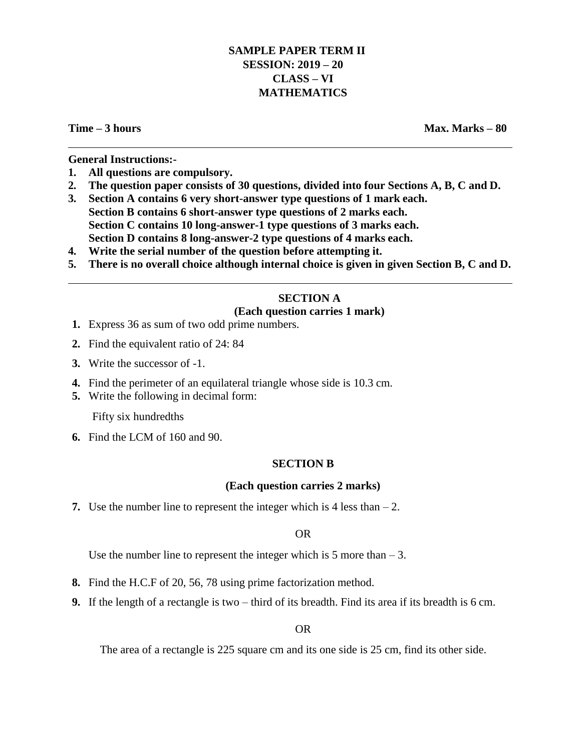# **SAMPLE PAPER TERM II SESSION: 2019 – 20 CLASS – VI MATHEMATICS**

**Time – 3 hours Max. Marks – 80**

**General Instructions:-**

- **1. All questions are compulsory.**
- **2. The question paper consists of 30 questions, divided into four Sections A, B, C and D.**
- **3. Section A contains 6 very short-answer type questions of 1 mark each. Section B contains 6 short-answer type questions of 2 marks each. Section C contains 10 long-answer-1 type questions of 3 marks each. Section D contains 8 long-answer-2 type questions of 4 marks each.**
- **4. Write the serial number of the question before attempting it.**
- **5. There is no overall choice although internal choice is given in given Section B, C and D.**

# **SECTION A**

## **(Each question carries 1 mark)**

- **1.** Express 36 as sum of two odd prime numbers.
- **2.** Find the equivalent ratio of 24: 84
- **3.** Write the successor of -1.
- **4.** Find the perimeter of an equilateral triangle whose side is 10.3 cm.
- **5.** Write the following in decimal form:

Fifty six hundredths

**6.** Find the LCM of 160 and 90.

## **SECTION B**

## **(Each question carries 2 marks)**

**7.** Use the number line to represent the integer which is 4 less than  $-2$ .

OR

Use the number line to represent the integer which is  $5$  more than  $-3$ .

- **8.** Find the H.C.F of 20, 56, 78 using prime factorization method.
- **9.** If the length of a rectangle is two third of its breadth. Find its area if its breadth is 6 cm.

OR

The area of a rectangle is 225 square cm and its one side is 25 cm, find its other side.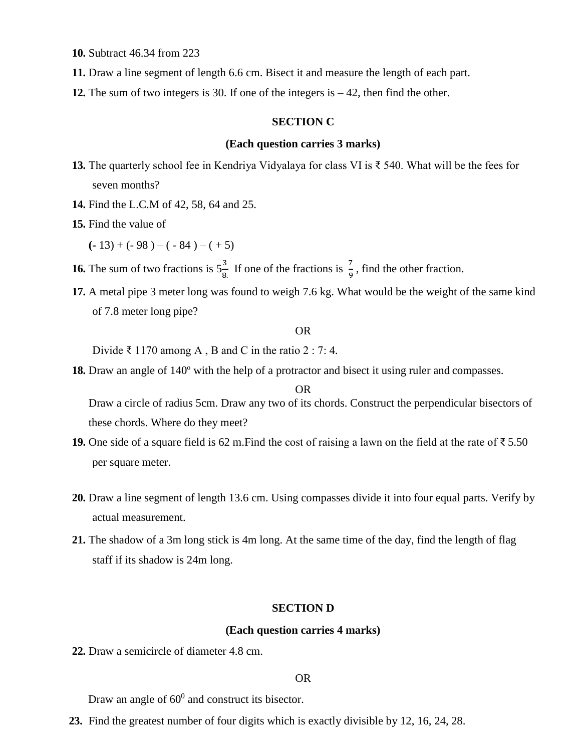**10.** Subtract 46.34 from 223

- **11.** Draw a line segment of length 6.6 cm. Bisect it and measure the length of each part.
- **12.** The sum of two integers is 30. If one of the integers is 42, then find the other.

## **SECTION C**

## **(Each question carries 3 marks)**

- **13.** The quarterly school fee in Kendriya Vidyalaya for class VI is ₹ 540. What will be the fees for seven months?
- **14.** Find the L.C.M of 42, 58, 64 and 25.
- **15.** Find the value of

 $(-13) + (-98) - (-84) - (+5)$ 

**16.** The sum of two fractions is  $5\frac{3}{8}$ . If one of the fractions is  $\frac{7}{9}$ , find the other fraction.

**17.** A metal pipe 3 meter long was found to weigh 7.6 kg. What would be the weight of the same kind of 7.8 meter long pipe?

### OR

Divide ₹ 1170 among A, B and C in the ratio  $2:7:4$ .

**18.** Draw an angle of 140º with the help of a protractor and bisect it using ruler and compasses.

#### OR

Draw a circle of radius 5cm. Draw any two of its chords. Construct the perpendicular bisectors of these chords. Where do they meet?

- **19.** One side of a square field is 62 m.Find the cost of raising a lawn on the field at the rate of ₹ 5.50 per square meter.
- **20.** Draw a line segment of length 13.6 cm. Using compasses divide it into four equal parts. Verify by actual measurement.
- **21.** The shadow of a 3m long stick is 4m long. At the same time of the day, find the length of flag staff if its shadow is 24m long.

## **SECTION D**

#### **(Each question carries 4 marks)**

**22.** Draw a semicircle of diameter 4.8 cm.

#### OR

Draw an angle of  $60^0$  and construct its bisector.

**23.** Find the greatest number of four digits which is exactly divisible by 12, 16, 24, 28.